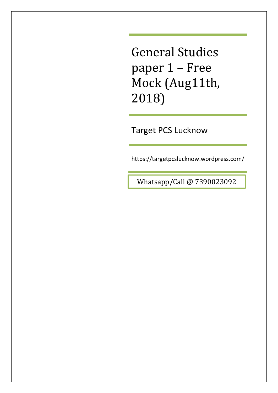Target PCS Lucknow

https://targetpcslucknow.wordpress.com/

Whatsapp/Call @ 7390023092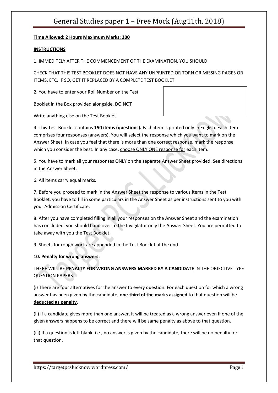### **Time Allowed: 2 Hours Maximum Marks: 200**

#### **INSTRUCTIONS**

1. IMMEDITELY AFTER THE COMMENCEMENT OF THE EXAMINATION, YOU SHOULD

CHECK THAT THIS TEST BOOKLET DOES NOT HAVE ANY UNPRINTED OR TORN OR MISSING PAGES OR ITEMS, ETC. IF SO, GET IT REPLACED BY A COMPLETE TEST BOOKLET.

2. You have to enter your Roll Number on the Test

Booklet in the Box provided alongside. DO NOT

Write anything else on the Test Booklet.

4. This Test Booklet contains **150 items (questions).** Each item is printed only in English. Each item comprises four responses (answers). You will select the response which you want to mark on the Answer Sheet. In case you feel that there is more than one correct response, mark the response which you consider the best. In any case, choose ONLY ONE response for each item.

5. You have to mark all your responses ONLY on the separate Answer Sheet provided. See directions in the Answer Sheet.

6. All items carry equal marks.

7. Before you proceed to mark in the Answer Sheet the response to various items in the Test Booklet, you have to fill in some particulars in the Answer Sheet as per instructions sent to you with your Admission Certificate.

8. After you have completed filling in all your responses on the Answer Sheet and the examination has concluded, you should hand over to the Invigilator only the Answer Sheet. You are permitted to take away with you the Test Booklet.

9. Sheets for rough work are appended in the Test Booklet at the end.

#### **10. Penalty for wrong answers:**

### THERE WILL BE **PENALTY FOR WRONG ANSWERS MARKED BY A CANDIDATE** IN THE OBJECTIVE TYPE QUESTION PAPERS.

(i) There are four alternatives for the answer to every question. For each question for which a wrong answer has been given by the candidate, **one-third of the marks assigned** to that question will be **deducted as penalty**.

(ii) If a candidate gives more than one answer, it will be treated as a wrong answer even if one of the given answers happens to be correct and there will be same penalty as above to that question.

(iii) If a question is left blank, i.e., no answer is given by the candidate, there will be no penalty for that question.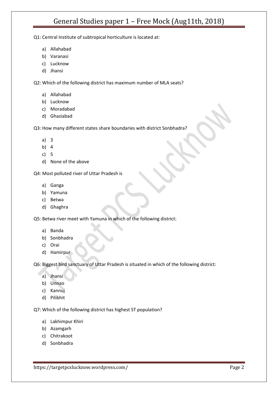Q1: Central Institute of subtropical horticulture is located at:

- a) Allahabad
- b) Varanasi
- c) Lucknow
- d) Jhansi

Q2: Which of the following district has maximum number of MLA seats?

- a) Allahabad
- b) Lucknow
- c) Moradabad
- d) Ghaziabad

Q3: How many different states share boundaries with district Sonbhadra?

- a) 3
- b) 4
- c) 5
- d) None of the above

Q4: Most polluted river of Uttar Pradesh is

- a) Ganga
- b) Yamuna
- c) Betwa
- d) Ghaghra

Q5: Betwa river meet with Yamuna in which of the following district:

- a) Banda
- b) Sonbhadra
- c) Orai
- d) Hamirpur

Q6: Biggest bird sanctuary of Uttar Pradesh is situated in which of the following district:

- a) Jhansi
- b) Unnao
- c) Kannuj
- d) Pilibhit

Q7: Which of the following district has highest ST population?

- a) Lakhimpur Khiri
- b) Azamgarh
- c) Chitrakoot
- d) Sonbhadra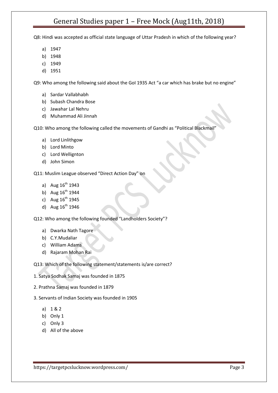Q8: Hindi was accepted as official state language of Uttar Pradesh in which of the following year?

- a) 1947
- b) 1948
- c) 1949
- d) 1951

Q9: Who among the following said about the GoI 1935 Act "a car which has brake but no engine"

- a) Sardar Vallabhabh
- b) Subash Chandra Bose
- c) Jawahar Lal Nehru
- d) Muhammad Ali Jinnah

Q10: Who among the following called the movements of Gandhi as "Political Blackmail"

- a) Lord Linlithgow
- b) Lord Minto
- c) Lord Wellignton
- d) John Simon

Q11: Muslim League observed "Direct Action Day" on

- a) Aug  $16^{th}$  1943
- b) Aug  $16^{th}$  1944
- c) Aug  $16^{th}$  1945
- d) Aug  $16^{th}$  1946

Q12: Who among the following founded "Landholders Society"?

- a) Dwarka Nath Tagore
- b) C.Y.Mudaliar
- c) William Adams
- d) Rajaram Mohan Rai

Q13: Which of the following statement/statements is/are correct?

- 1. Satya Sodhak Samaj was founded in 1875
- 2. Prathna Samaj was founded in 1879
- 3. Servants of Indian Society was founded in 1905
	- a) 1 & 2
	- b) Only 1
	- c) Only 3
	- d) All of the above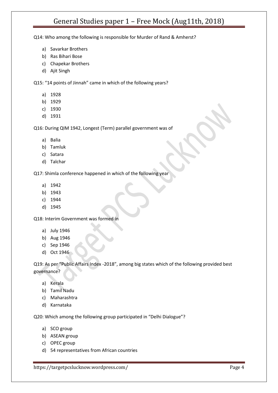Q14: Who among the following is responsible for Murder of Rand & Amherst?

- a) Savarkar Brothers
- b) Ras Bihari Bose
- c) Chapekar Brothers
- d) Ajit Singh

Q15: "14 points of Jinnah" came in which of the following years?

- a) 1928
- b) 1929
- c) 1930
- d) 1931

Q16: During QIM 1942, Longest (Term) parallel government was of

- a) Balia
- b) Tamluk
- c) Satara
- d) Talchar

Q17: Shimla conference happened in which of the following year

- a) 1942
- b) 1943
- c) 1944
- d) 1945

Q18: Interim Government was formed in

- a) July 1946
- b) Aug 1946
- c) Sep 1946
- d) Oct 1946

Q19: As per "Public Affairs Index -2018", among big states which of the following provided best governance?

- a) Kerala
- b) Tamil Nadu
- c) Maharashtra
- d) Karnataka

Q20: Which among the following group participated in "Delhi Dialogue"?

- a) SCO group
- b) ASEAN group
- c) OPEC group
- d) 54 representatives from African countries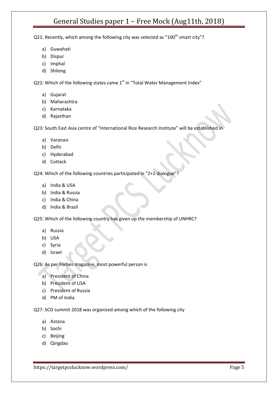Q21: Recently, which among the following city was selected as "100<sup>th</sup> smart city"?

- a) Guwahati
- b) Dispur
- c) Imphal
- d) Shilong

Q22: Which of the following states came  $1<sup>st</sup>$  in "Total Water Management Index"

- a) Gujarat
- b) Maharashtra
- c) Karnataka
- d) Rajasthan

Q23: South East Asia centre of "International Rice Research Institute" will be established in

- a) Varanasi
- b) Delhi
- c) Hyderabad
- d) Cuttack

Q24: Which of the following countries participated in "2+2 dialogue"?

- a) India & USA
- b) India & Russia
- c) India & China
- d) India & Brazil

Q25: Which of the following country has given up the membership of UNHRC?

- a) Russia
- b) USA
- c) Syria
- d) Israel

Q26: As per Forbes magazine, most powerful person is

- a) President of China
- b) President of USA
- c) President of Russia
- d) PM of India

Q27: SCO summit 2018 was organized among which of the following city

- a) Astana
- b) Sochi
- c) Beijing
- d) Qingdao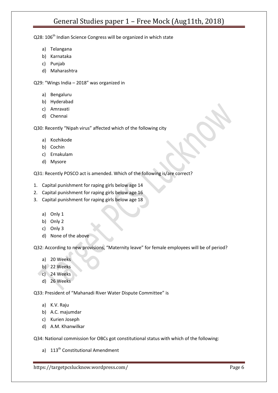Q28: 106<sup>th</sup> Indian Science Congress will be organized in which state

- a) Telangana
- b) Karnataka
- c) Punjab
- d) Maharashtra

Q29: "Wings India – 2018" was organized in

- a) Bengaluru
- b) Hyderabad
- c) Amravati
- d) Chennai

Q30: Recently "Nipah virus" affected which of the following city

- a) Kozhikode
- b) Cochin
- c) Ernakulam
- d) Mysore

Q31: Recently POSCO act is amended. Which of the following is/are correct?

- 1. Capital punishment for raping girls below age 14
- 2. Capital punishment for raping girls below age 16
- 3. Capital punishment for raping girls below age 18
	- a) Only 1
	- b) Only 2
	- c) Only 3
	- d) None of the above

Q32: According to new provisions, "Maternity leave" for female employees will be of period?

- a) 20 Weeks
- b) 22 Weeks
- c) 24 Weeks
	- d) 26 Weeks

Q33: President of "Mahanadi River Water Dispute Committee" is

- a) K.V. Raju
- b) A.C. majumdar
- c) Kurien Joseph
- d) A.M. Khanwilkar

Q34: National commission for OBCs got constitutional status with which of the following:

a) 113<sup>th</sup> Constitutional Amendment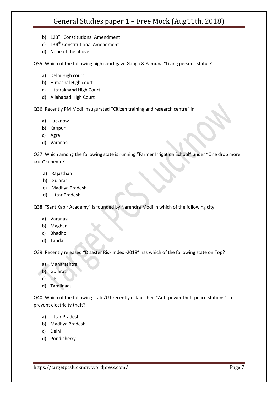- b) 123<sup>rd</sup> Constitutional Amendment
- c) 134<sup>th</sup> Constitutional Amendment
- d) None of the above

Q35: Which of the following high court gave Ganga & Yamuna "Living person" status?

- a) Delhi High court
- b) Himachal High court
- c) Uttarakhand High Court
- d) Allahabad High Court

Q36: Recently PM Modi inaugurated "Citizen training and research centre" in

- a) Lucknow
- b) Kanpur
- c) Agra
- d) Varanasi

Q37: Which among the following state is running "Farmer Irrigation School" under "One drop more crop" scheme?

- a) Rajasthan
- b) Gujarat
- c) Madhya Pradesh
- d) Uttar Pradesh

Q38: "Sant Kabir Academy" is founded by Narendra Modi in which of the following city

- a) Varanasi
- b) Maghar
- c) Bhadhoi
- d) Tanda

Q39: Recently released "Disaster Risk Index -2018" has which of the following state on Top?

- a) Maharashtra
- b) Gujarat
- c) UP
- d) Tamilnadu

Q40: Which of the following state/UT recently established "Anti-power theft police stations" to prevent electricity theft?

- a) Uttar Pradesh
- b) Madhya Pradesh
- c) Delhi
- d) Pondicherry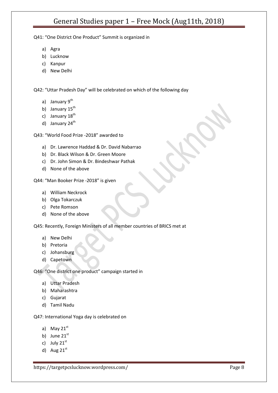Q41: "One District One Product" Summit is organized in

- a) Agra
- b) Lucknow
- c) Kanpur
- d) New Delhi

Q42: "Uttar Pradesh Day" will be celebrated on which of the following day

- a) January 9<sup>th</sup>
- b) January  $15<sup>th</sup>$
- c) January  $18<sup>th</sup>$
- d) January  $24<sup>th</sup>$

Q43: "World Food Prize -2018" awarded to

- a) Dr. Lawrence Haddad & Dr. David Nabarrao
- b) Dr. Black Wilson & Dr. Green Moore
- c) Dr. John Simon & Dr. Bindeshwar Pathak
- d) None of the above

Q44: "Man Booker Prize -2018" is given

- a) William Neckrock
- b) Olga Tokarczuk
- c) Pete Romson
- d) None of the above

Q45: Recently, Foreign Ministers of all member countries of BRICS met at

- a) New Delhi
- b) Pretoria
- c) Johansburg
- d) Capetown

Q46: "One district one product" campaign started in

- a) Uttar Pradesh
- b) Maharashtra
- c) Gujarat
- d) Tamil Nadu

Q47: International Yoga day is celebrated on

- a) May  $21<sup>st</sup>$
- b) June  $21<sup>st</sup>$
- c) July  $21<sup>st</sup>$
- d) Aug  $21<sup>st</sup>$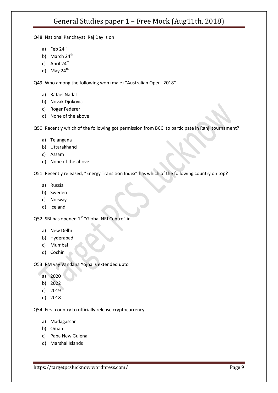Q48: National Panchayati Raj Day is on

- a) Feb  $24<sup>th</sup>$
- b) March  $24^{\text{th}}$
- c) April  $24<sup>th</sup>$
- d) May  $24<sup>th</sup>$

Q49: Who among the following won (male) "Australian Open -2018"

- a) Rafael Nadal
- b) Novak Djokovic
- c) Roger Federer
- d) None of the above

Q50: Recently which of the following got permission from BCCI to participate in Ranji tournament?

- a) Telangana
- b) Uttarakhand
- c) Assam
- d) None of the above

Q51: Recently released, "Energy Transition Index" has which of the following country on top?

- a) Russia
- b) Sweden
- c) Norway
- d) Iceland

Q52: SBI has opened 1<sup>st</sup> "Global NRI Centre" in

- a) New Delhi
- b) Hyderabad
- c) Mumbai
- d) Cochin

Q53: PM vay Vandana Yojna is extended upto

- a) 2020
- b) 2022
- c) 2019
- d) 2018

Q54: First country to officially release cryptocurrency

- a) Madagascar
- b) Oman
- c) Papa New Guiena
- d) Marshal Islands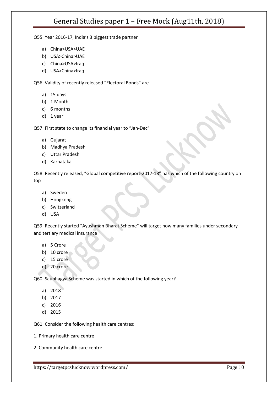Q55: Year 2016-17, India's 3 biggest trade partner

- a) China>USA>UAE
- b) USA>China>UAE
- c) China>USA>Iraq
- d) USA>China>Iraq

Q56: Validity of recently released "Electoral Bonds" are

- a) 15 days
- b) 1 Month
- c) 6 months
- d) 1 year

Q57: First state to change its financial year to "Jan-Dec"

- a) Gujarat
- b) Madhya Pradesh
- c) Uttar Pradesh
- d) Karnataka

Q58: Recently released, "Global competitive report-2017-18" has which of the following country on top

- a) Sweden
- b) Hongkong
- c) Switzerland
- d) USA

Q59: Recently started "Ayushman Bharat Scheme" will target how many families under secondary and tertiary medical insurance

- a) 5 Crore
- b) 10 crore
- c) 15 crore
- d) 20 crore

Q60: Saubhagya Scheme was started in which of the following year?

- a) 2018
- b) 2017
- c) 2016
- d) 2015

Q61: Consider the following health care centres:

- 1. Primary health care centre
- 2. Community health care centre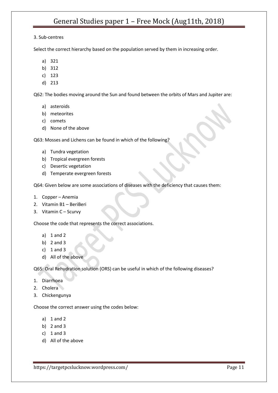#### 3. Sub-centres

Select the correct hierarchy based on the population served by them in increasing order.

- a) 321
- b) 312
- c) 123
- d) 213

Q62: The bodies moving around the Sun and found between the orbits of Mars and Jupiter are:

- a) asteroids
- b) meteorites
- c) comets
- d) None of the above

Q63: Mosses and Lichens can be found in which of the following?

- a) Tundra vegetation
- b) Tropical evergreen forests
- c) Desertic vegetation
- d) Temperate evergreen forests

Q64: Given below are some associations of diseases with the deficiency that causes them:

- 1. Copper Anemia
- 2. Vitamin B1 BeriBeri
- 3. Vitamin C Scurvy

Choose the code that represents the correct associations.

- a) 1 and 2
- b) 2 and 3
- c)  $1$  and  $3$
- d) All of the above

Q65: Oral Rehydration solution (ORS) can be useful in which of the following diseases?

- 1. Diarrhoea
- 2. Cholera
- 3. Chickengunya

Choose the correct answer using the codes below:

- a) 1 and 2
- b) 2 and 3
- c)  $1$  and  $3$
- d) All of the above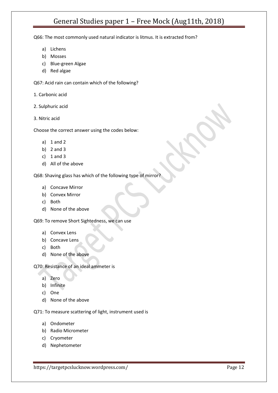Q66: The most commonly used natural indicator is litmus. It is extracted from?

- a) Lichens
- b) Mosses
- c) Blue-green Algae
- d) Red algae

Q67: Acid rain can contain which of the following?

1. Carbonic acid

- 2. Sulphuric acid
- 3. Nitric acid

Choose the correct answer using the codes below:

- a) 1 and 2
- b) 2 and 3
- c)  $1$  and  $3$
- d) All of the above

Q68: Shaving glass has which of the following type of mirror?

- a) Concave Mirror
- b) Convex Mirror
- c) Both
- d) None of the above

Q69: To remove Short Sightedness, we can use

- a) Convex Lens
- b) Concave Lens
- c) Both
- d) None of the above

Q70: Resistance of an ideal ammeter is

- a) Zero
- b) Infinite
- c) One
- d) None of the above

Q71: To measure scattering of light, instrument used is

- a) Ondometer
- b) Radio Micrometer
- c) Cryometer
- d) Nephetometer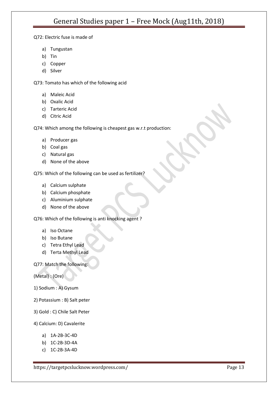### Q72: Electric fuse is made of

- a) Tungustan
- b) Tin
- c) Copper
- d) Silver

Q73: Tomato has which of the following acid

- a) Maleic Acid
- b) Oxalic Acid
- c) Tarteric Acid
- d) Citric Acid

Q74: Which among the following is cheapest gas w.r.t production:

- a) Producer gas
- b) Coal gas
- c) Natural gas
- d) None of the above

Q75: Which of the following can be used as fertilizer?

- a) Calcium sulphate
- b) Calcium phosphate
- c) Aluminium sulphate
- d) None of the above

Q76: Which of the following is anti knocking agent ?

- a) Iso Octane
- b) Iso Butane
- c) Tetra Ethyl Lead
- d) Terta Methyl Lead

#### Q77: Match the following:

(Metal) : (Ore)

- 1) Sodium : A) Gysum
- 2) Potassium : B) Salt peter
- 3) Gold : C) Chile Salt Peter
- 4) Calcium: D) Cavalerite
	- a) 1A-2B-3C-4D
	- b) 1C-2B-3D-4A
	- c) 1C-2B-3A-4D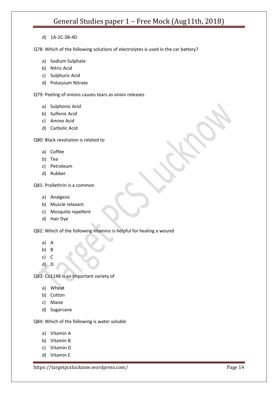d) 1A-2C-3B-4D

Q78: Which of the following solutions of electrolytes is used in the car battery?

- a) Sodium Sulphate
- b) Nitric Acid
- c) Sulphuric Acid
- d) Potassium Nitrate

Q79: Peeling of onions causes tears as onion releases

- a) Sulphonic Acid
- b) Sulfenic Acid
- c) Amino Acid
- d) Carbolic Acid

Q80: Black revolution is related to

- a) Coffee
- b) Tea
- c) Petroleum
- d) Rubber

Q81: Prallethrin is a common

- a) Analgesic
- b) Muscle relaxant
- c) Mosquito repellent
- d) Hair Dye

Q82: Which of the following vitamins is helpful for healing a wound

- a) A
- b) B
- c) C
- $d$ ) D

Q83: Co1148 is an important variety of

- a) Wheat
- b) Cotton
- c) Maize
- d) Sugarcane

Q84: Which of the following is water soluble

- a) Vitamin A
- b) Vitamin B
- c) Vitamin D
- d) Vitamin E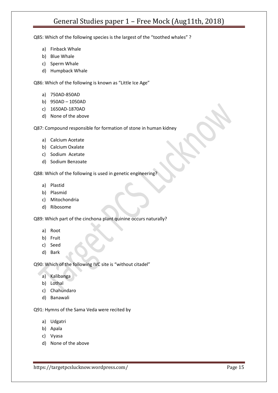Q85: Which of the following species is the largest of the "toothed whales" ?

- a) Finback Whale
- b) Blue Whale
- c) Sperm Whale
- d) Humpback Whale

Q86: Which of the following is known as "Little Ice Age"

- a) 750AD-850AD
- b) 950AD 1050AD
- c) 1650AD-1870AD
- d) None of the above

Q87: Compound responsible for formation of stone in human kidney

- a) Calcium Acetate
- b) Calcium Oxalate
- c) Sodium Acetate
- d) Sodium Benzoate

Q88: Which of the following is used in genetic engineering?

- a) Plastid
- b) Plasmid
- c) Mitochondria
- d) Ribosome

Q89: Which part of the cinchona plant quinine occurs naturally?

- a) Root
- b) Fruit
- c) Seed
- d) Bark

Q90: Which of the following IVC site is "without citadel"

- a) Kalibanga
- b) Lothal
- c) Chahundaro
- d) Banawali

Q91: Hymns of the Sama Veda were recited by

- a) Udgatri
- b) Apala
- c) Vyasa
- d) None of the above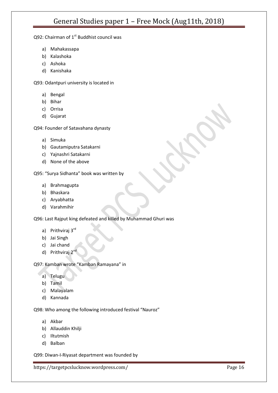### Q92: Chairman of  $1<sup>st</sup>$  Buddhist council was

- a) Mahakassapa
- b) Kalashoka
- c) Ashoka
- d) Kanishaka

Q93: Odantpuri university is located in

- a) Bengal
- b) Bihar
- c) Orrisa
- d) Gujarat

Q94: Founder of Satavahana dynasty

- a) Simuka
- b) Gautamiputra Satakarni
- c) Yajnashri Satakarni
- d) None of the above

Q95: "Surya Sidhanta" book was written by

- a) Brahmagupta
- b) Bhaskara
- c) Aryabhatta
- d) Varahmihir

Q96: Last Rajput king defeated and killed by Muhammad Ghuri was

- a) Prithviraj 3rd
- b) Jai Singh
- c) Jai chand
- d) Prithviraj 2<sup>nd</sup>

Q97: Kamban wrote "Kamban Ramayana" in

- a) Telugu
- b) Tamil
- c) Malayalam
- d) Kannada

Q98: Who among the following introduced festival "Nauroz"

- a) Akbar
- b) Allauddin Khilji
- c) Iltutmish
- d) Balban

Q99: Diwan-I-Riyasat department was founded by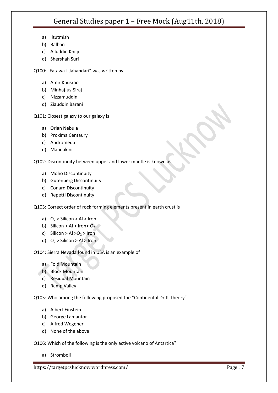- a) Iltutmish
- b) Balban
- c) Alluddin Khilji
- d) Shershah Suri

Q100: "Fatawa-I-Jahandari" was written by

- a) Amir Khusrao
- b) Minhaj-us-Siraj
- c) Nizzamuddin
- d) Ziauddin Barani

Q101: Closest galaxy to our galaxy is

- a) Orian Nebula
- b) Proxima Centaury
- c) Andromeda
- d) Mandakini

Q102: Discontinuity between upper and lower mantle is known as

- a) Moho Discontinuity
- b) Gutenberg Discontinuity
- c) Conard Discontinuity
- d) Repetti Discontinuity

Q103: Correct order of rock forming elements present in earth crust is

- a)  $O_2 >$  Silicon  $>$  Al  $>$  Iron
- b) Silicon > Al > Iron >  $O_2$
- c) Silicon > Al > O<sub>2</sub> > Iron
- d)  $O_2 >$  Silicon > Al > Iron

Q104: Sierra Nevada found in USA is an example of

- a) Fold Mountain
- b) Block Mountain
- c) Residual Mountain
- d) Ramp Valley

Q105: Who among the following proposed the "Continental Drift Theory"

- a) Albert Einstein
- b) George Lamantor
- c) Alfred Wegener
- d) None of the above

Q106: Which of the following is the only active volcano of Antartica?

a) Stromboli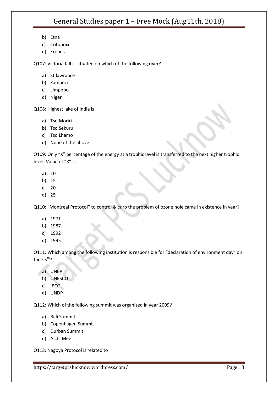- b) Etna
- c) Cotopoxi
- d) Erebus

Q107: Victoria fall is situated on which of the following river?

- a) St.lawrance
- b) Zambezi
- c) Limpopo
- d) Niger

Q108: Highest lake of India is

- a) Tso Moriri
- b) Tso Sekuru
- c) Tso Lhamo
- d) None of the above

Q109: Only "X" percentage of the energy at a trophic level is transferred to the next higher trophic level. Value of "X" is

- a) 10
- b) 15
- c) 20
- d) 25

Q110: "Montreal Protocol" to control & curb the problem of ozone hole came in existence in year?

- a) 1971
- b) 1987
- c) 1992
- d) 1995

Q111: Which among the following institution is responsible for "declaration of environment day" on June  $5<sup>th</sup>$ ?

- a) UNEP
- b) UNESCO
- c) IPCC
- d) UNDP

Q112: Which of the following summit was organized in year 2009?

- a) Bali Summit
- b) Copenhagen Summit
- c) Durban Summit
- d) Alchi Meet

Q113: Nagoya Protocol is related to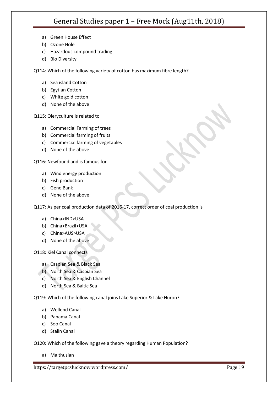- a) Green House Effect
- b) Ozone Hole
- c) Hazardous compound trading
- d) Bio Diversity

Q114: Which of the following variety of cotton has maximum fibre length?

- a) Sea island Cotton
- b) Egytian Cotton
- c) White gold cotton
- d) None of the above

Q115: Oleryculture is related to

- a) Commercial Farming of trees
- b) Commercial farming of fruits
- c) Commercial farming of vegetables
- d) None of the above

Q116: Newfoundland is famous for

- a) Wind energy production
- b) Fish production
- c) Gene Bank
- d) None of the above

Q117: As per coal production data of 2016-17, correct order of coal production is

- a) China>IND>USA
- b) China>Brazil>USA
- c) China>AUS>USA
- d) None of the above

Q118: Kiel Canal connects

- a) Caspian Sea & Black Sea
- b) North Sea & Caspian Sea
- c) North Sea & English Channel
- d) North Sea & Baltic Sea

Q119: Which of the following canal joins Lake Superior & Lake Huron?

- a) Wellend Canal
- b) Panama Canal
- c) Soo Canal
- d) Stalin Canal

Q120: Which of the following gave a theory regarding Human Population?

a) Malthusian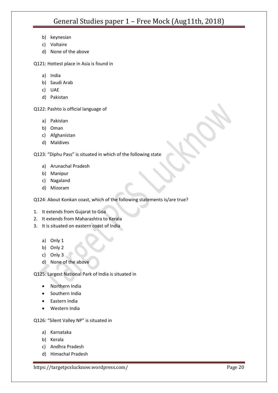- b) keynesian
- c) Voltaire
- d) None of the above
- Q121: Hottest place in Asia is found in
	- a) India
	- b) Saudi Arab
	- c) UAE
	- d) Pakistan

Q122: Pashto is official language of

- a) Pakistan
- b) Oman
- c) Afghanistan
- d) Maldives

Q123: "Diphu Pass" is situated in which of the following state

- a) Arunachal Pradesh
- b) Manipur
- c) Nagaland
- d) Mizoram

Q124: About Konkan coast, which of the following statements is/are true?

- 1. It extends from Gujarat to Goa
- 2. It extends from Maharashtra to Kerala
- 3. It is situated on eastern coast of India
	- a) Only 1
	- b) Only 2
	- c) Only 3
	- d) None of the above

Q125: Largest National Park of India is situated in

- Northern India
- Southern India
- **•** Eastern India
- Western India

Q126: "Silent Valley NP" is situated in

- a) Karnataka
- b) Kerala
- c) Andhra Pradesh
- d) Himachal Pradesh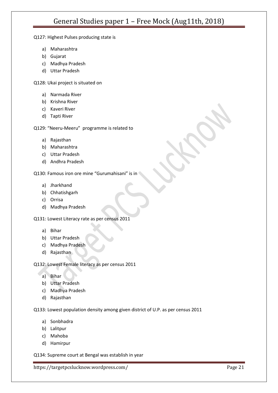Q127: Highest Pulses producing state is

- a) Maharashtra
- b) Gujarat
- c) Madhya Pradesh
- d) Uttar Pradesh

Q128: Ukai project is situated on

- a) Narmada River
- b) Krishna River
- c) Kaveri River
- d) Tapti River

Q129: "Neeru-Meeru" programme is related to

- a) Rajasthan
- b) Maharashtra
- c) Uttar Pradesh
- d) Andhra Pradesh

Q130: Famous iron ore mine "Gurumahisani" is in

- a) Jharkhand
- b) Chhatishgarh
- c) Orrisa
- d) Madhya Pradesh

Q131: Lowest Literacy rate as per census 2011

- a) Bihar
- b) Uttar Pradesh
- c) Madhya Pradesh
- d) Rajasthan

Q132: Lowest Female literacy as per census 2011

- a) Bihar
- b) Uttar Pradesh
- c) Madhya Pradesh
- d) Rajasthan

Q133: Lowest population density among given district of U.P. as per census 2011

- a) Sonbhadra
- b) Lalitpur
- c) Mahoba
- d) Hamirpur

Q134: Supreme court at Bengal was establish in year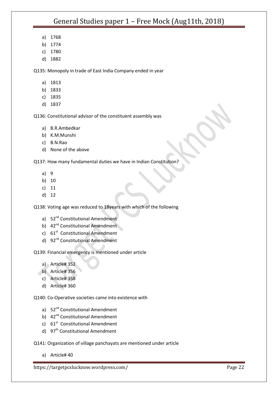- a) 1768
- b) 1774
- c) 1780
- d) 1882

Q135: Monopoly in trade of East India Company ended in year

- a) 1813
- b) 1833
- c) 1835
- d) 1837

Q136: Constitutional advisor of the constituent assembly was

- a) B.R.Ambedkar
- b) K.M.Munshi
- c) B.N.Rao
- d) None of the above

Q137: How many fundamental duties we have in Indian Constitution?

- a) 9
- b) 10
- c) 11
- d) 12

Q138: Voting age was reduced to 18years with which of the following

- a) 52<sup>nd</sup> Constitutional Amendment
- b) 42<sup>nd</sup> Constitutional Amendment
- c) 61<sup>st</sup> Constitutional Amendment
- d) 92<sup>nd</sup> Constitutional Amendment

Q139: Financial emergency is mentioned under article

- a) Article# 352
- b) Article# 356
- c) Article# 358
- d) Article# 360

Q140: Co-Operative societies came into existence with

- a) 52<sup>nd</sup> Constitutional Amendment
- b) 42<sup>nd</sup> Constitutional Amendment
- c)  $61<sup>st</sup>$  Constitutional Amendment
- d) 97<sup>th</sup> Constitutional Amendment

Q141: Organization of village panchayats are mentioned under article

a) Article# 40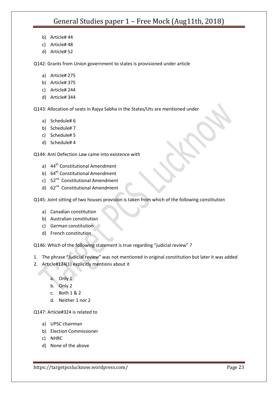- b) Article# 44
- c) Article# 48
- d) Article# 52

Q142: Grants from Union government to states is provisioned under article

- a) Article# 275
- b) Article# 375
- c) Article# 244
- d) Article# 344

Q143: Allocation of seats in Rajya Sabha in the States/Uts are mentioned under

- a) Schedule# 6
- b) Schedule# 7
- c) Schedule# 5
- d) Schedule# 4

Q144: Anti Defection Law came into existence with

- a) 44<sup>th</sup> Constitutional Amendment
- b) 64<sup>th</sup> Constitutional Amendment
- c) 52<sup>nd</sup> Constitutional Amendment
- d) 62<sup>nd</sup> Constitutional Amendment

Q145: Joint sitting of two houses provision is taken from which of the following constitution

- a) Canadian constitution
- b) Australian constitution
- c) German constitution
- d) French constitution

Q146: Which of the following statement is true regarding "judicial review" ?

- 1. The phrase "Judicial review" was not mentioned in original constitution but later it was added
- 2. Article#124(1) explicitly mentions about it
	- a. Only 1
	- b. Only 2
	- c. Both 1 & 2
	- d. Neither 1 nor 2

Q147: Article#324 is related to

- a) UPSC chairman
- b) Election Commissioner
- c) NHRC
- d) None of the above